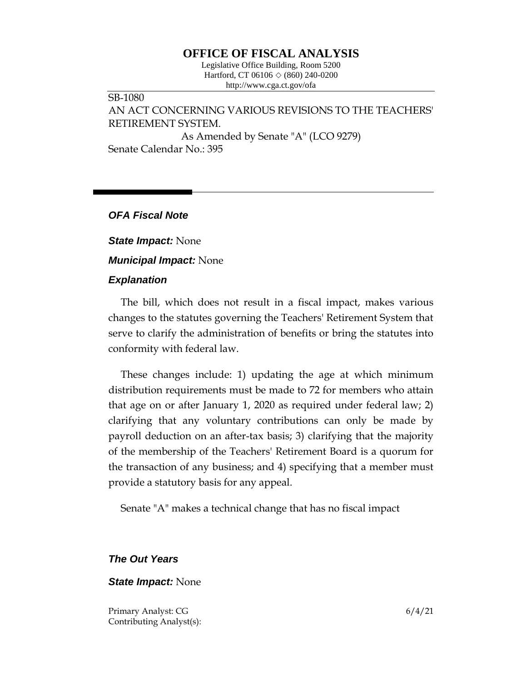## **OFFICE OF FISCAL ANALYSIS**

Legislative Office Building, Room 5200 Hartford, CT 06106 ◇ (860) 240-0200 http://www.cga.ct.gov/ofa

### SB-1080 AN ACT CONCERNING VARIOUS REVISIONS TO THE TEACHERS' RETIREMENT SYSTEM. As Amended by Senate "A" (LCO 9279) Senate Calendar No.: 395

### *OFA Fiscal Note*

*State Impact:* None

*Municipal Impact:* None

### *Explanation*

The bill, which does not result in a fiscal impact, makes various changes to the statutes governing the Teachers' Retirement System that serve to clarify the administration of benefits or bring the statutes into conformity with federal law.

These changes include: 1) updating the age at which minimum distribution requirements must be made to 72 for members who attain that age on or after January 1, 2020 as required under federal law; 2) clarifying that any voluntary contributions can only be made by payroll deduction on an after-tax basis; 3) clarifying that the majority of the membership of the Teachers' Retirement Board is a quorum for the transaction of any business; and 4) specifying that a member must provide a statutory basis for any appeal.

Senate "A" makes a technical change that has no fiscal impact

# *The Out Years*

### *State Impact:* None

Primary Analyst: CG 6/4/21 Contributing Analyst(s):